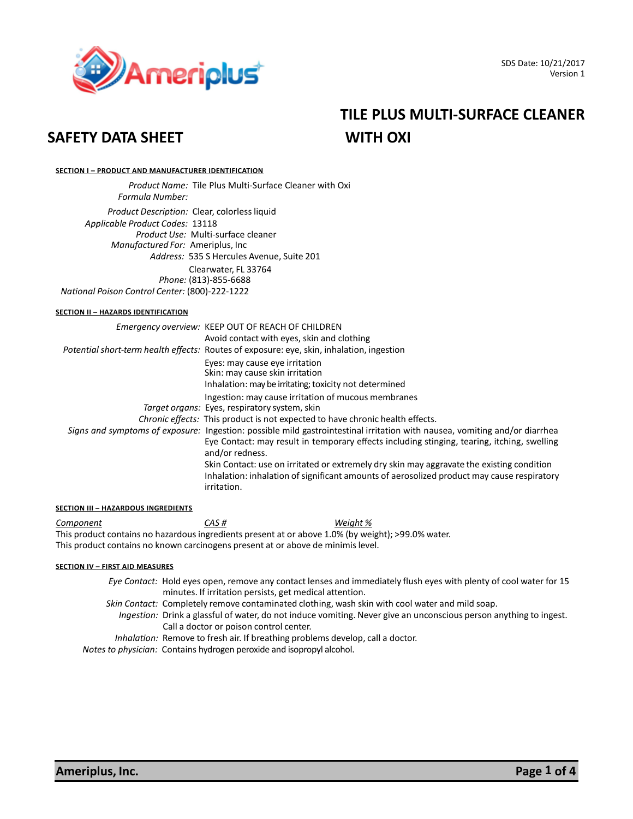

# **TILE PLUS MULTI-SURFACE CLEANER**

#### **SECTION I – PRODUCT AND MANUFACTURER IDENTIFICATION**

 *Product Name:* Tile Plus Multi-Surface Cleaner with Oxi  *Formula Number:* **<sup>0</sup>**  *Product Description:* Clear, colorless liquid  *Applicable Product Codes:* 13118  *Product Use:* Multi-surface cleaner *Manufactured For:* Ameriplus, Inc *Address:* 535 S Hercules Avenue, Suite 201 Clearwater, FL 33764  *Phone:* (813)-855-6688 *National Poison Control Center:* (800)-222-1222

#### **SECTION II – HAZARDS IDENTIFICATION**

| Emergency overview: KEEP OUT OF REACH OF CHILDREN                                                                                                                                                                                            |
|----------------------------------------------------------------------------------------------------------------------------------------------------------------------------------------------------------------------------------------------|
| Avoid contact with eyes, skin and clothing                                                                                                                                                                                                   |
| Potential short-term health effects: Routes of exposure: eye, skin, inhalation, ingestion                                                                                                                                                    |
| Eyes: may cause eye irritation<br>Skin: may cause skin irritation<br>Inhalation: may be irritating; toxicity not determined                                                                                                                  |
| Ingestion: may cause irritation of mucous membranes<br>Target organs: Eyes, respiratory system, skin                                                                                                                                         |
| <i>Chronic effects:</i> This product is not expected to have chronic health effects.                                                                                                                                                         |
| Signs and symptoms of exposure: Ingestion: possible mild gastrointestinal irritation with nausea, vomiting and/or diarrhea<br>Eye Contact: may result in temporary effects including stinging, tearing, itching, swelling<br>and/or redness. |
| Skin Contact: use on irritated or extremely dry skin may aggravate the existing condition<br>Inhalation: inhalation of significant amounts of aerosolized product may cause respiratory<br>irritation.                                       |

#### **SECTION III – HAZARDOUS INGREDIENTS**

*Component CAS # Weight %* This product contains no hazardousingredients present at or above 1.0% (by weight); >99.0% water. This product contains no known carcinogens present at or above de minimis level.

#### **SECTION IV – FIRST AID MEASURES**

- *Eye Contact:* Hold eyes open, remove any contact lenses and immediately flush eyes with plenty of cool water for 15 minutes. If irritation persists, get medical attention.
- *Skin Contact:* Completely remove contaminated clothing, wash skin with cool water and mild soap.
	- *Ingestion:* Drink a glassful of water, do not induce vomiting. Never give an unconscious person anything to ingest. Call a doctor or poison control center.
- *Inhalation:* Remove to fresh air. If breathing problems develop, call a doctor.

*Notes to physician:* Contains hydrogen peroxide and isopropyl alcohol.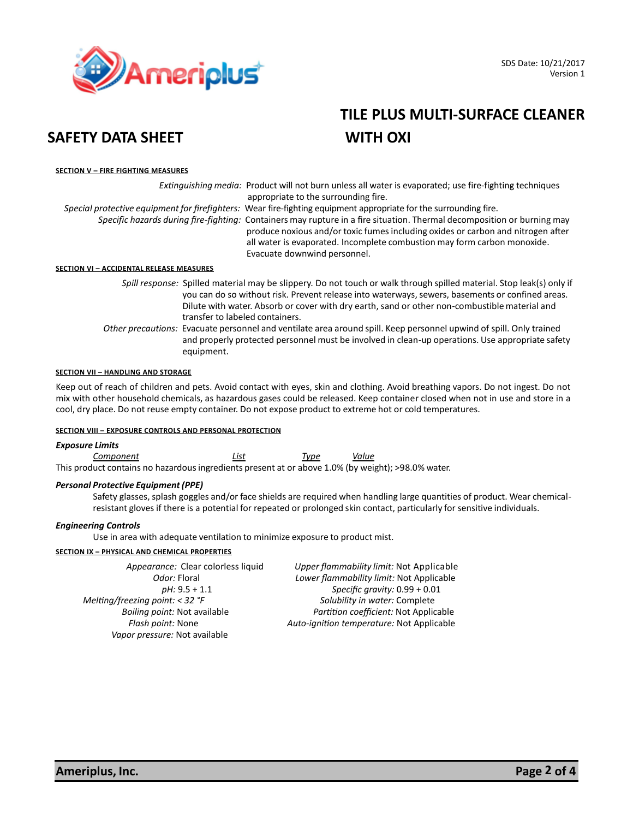

# **TILE PLUS MULTI-SURFACE CLEANER**

#### **SECTION V – FIRE FIGHTING MEASURES**

|                                          | Extinguishing media: Product will not burn unless all water is evaporated; use fire-fighting techniques                                                                                                                                                                                                                 |
|------------------------------------------|-------------------------------------------------------------------------------------------------------------------------------------------------------------------------------------------------------------------------------------------------------------------------------------------------------------------------|
|                                          | appropriate to the surrounding fire.                                                                                                                                                                                                                                                                                    |
|                                          | Special protective equipment for firefighters: Wear fire-fighting equipment appropriate for the surrounding fire.                                                                                                                                                                                                       |
|                                          | Specific hazards during fire-fighting: Containers may rupture in a fire situation. Thermal decomposition or burning may<br>produce noxious and/or toxic fumes including oxides or carbon and nitrogen after<br>all water is evaporated. Incomplete combustion may form carbon monoxide.<br>Evacuate downwind personnel. |
| SECTION VI – ACCIDENTAL RELEASE MEASURES |                                                                                                                                                                                                                                                                                                                         |

*Spill response:* Spilled material may be slippery. Do not touch or walk through spilled material. Stop leak(s) only if you can do so without risk. Prevent release into waterways, sewers, basements or confined areas. Dilute with water. Absorb or cover with dry earth, sand or other non-combustiblematerial and transfer to labeled containers.

*Other precautions:* Evacuate personnel and ventilate area around spill. Keep personnel upwind of spill. Only trained and properly protected personnel must be involved in clean-up operations. Use appropriate safety equipment.

#### **SECTION VII – HANDLING AND STORAGE**

Keep out of reach of children and pets. Avoid contact with eyes, skin and clothing. Avoid breathing vapors. Do not ingest. Do not mix with other household chemicals, as hazardous gases could be released. Keep container closed when not in use and store in a cool, dry place. Do not reuse empty container. Do not expose product to extreme hot or cold temperatures.

#### **SECTION VIII – EXPOSURE CONTROLS AND PERSONAL PROTECTION**

#### *Exposure Limits*

*Component List Type Value* This product contains no hazardousingredients present at or above 1.0% (by weight); >98.0% water.

#### *Personal Protective Equipment(PPE)*

Safety glasses, splash goggles and/or face shields are required when handling large quantities of product. Wear chemicalresistant gloves if there is a potential for repeated or prolonged skin contact, particularly for sensitive individuals.

#### *Engineering Controls*

Use in area with adequate ventilation to minimize exposure to product mist.

#### **SECTION IX – PHYSICAL AND CHEMICAL PROPERTIES**

*Melting/freezing point: < 32 °F* Solubility in water: Complete  *Vapor pressure:* Not available

 *Appearance:* Clear colorless liquid *Upper flammability limit:* Not Applicable  *Odor:* Floral *Lower flammability limit:* Not Applicable  *pH:* 9.5 + 1.1 *Specific gravity:* 0.99 + 0.01 *Boiling point:* Not available *Partition coefficient:* Not Applicable *Flash point:* None *Auto-ignition temperature:* Not Applicable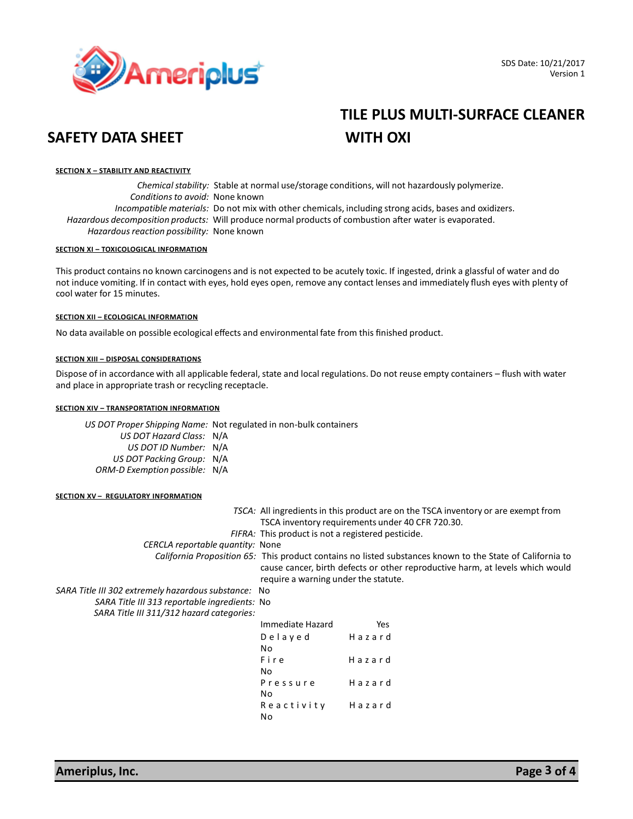

# **TILE PLUS MULTI-SURFACE CLEANER**

#### **SECTION X – STABILITY AND REACTIVITY**

*Chemical stability:* Stable at normal use/storage conditions, will not hazardously polymerize. *Conditionsto avoid:* None known *Incompatible materials:* Do not mix with other chemicals, including strong acids, bases and oxidizers. *Hazardous decomposition products:* Will produce normal products of combustion ader water is evaporated. *Hazardous reaction possibility:* None known

#### **SECTION XI – TOXICOLOGICAL INFORMATION**

This product contains no known carcinogens and is not expected to be acutely toxic. If ingested, drink a glassful of water and do not induce vomiting. If in contact with eyes, hold eyes open, remove any contact lenses and immediately flush eyes with plenty of cool water for 15 minutes.

#### **SECTION XII – ECOLOGICAL INFORMATION**

No data available on possible ecological effects and environmental fate from this finished product.

#### **SECTION XIII – DISPOSAL CONSIDERATIONS**

Dispose of in accordance with all applicable federal, state and local regulations. Do not reuse empty containers – flush with water and place in appropriate trash or recycling receptacle.

#### **SECTION XIV – TRANSPORTATION INFORMATION**

*US DOT Proper Shipping Name:* Not regulated in non-bulk containers *US DOT Hazard Class:* N/A *US DOT ID Number:* N/A *US DOT Packing Group:* N/A *ORM-D Exemption possible:* N/A

#### **SECTION XV – REGULATORY INFORMATION**

|                                                      |                                                                                                           | TSCA: All ingredients in this product are on the TSCA inventory or are exempt from |  |
|------------------------------------------------------|-----------------------------------------------------------------------------------------------------------|------------------------------------------------------------------------------------|--|
|                                                      |                                                                                                           | TSCA inventory requirements under 40 CFR 720.30.                                   |  |
|                                                      | FIFRA: This product is not a registered pesticide.                                                        |                                                                                    |  |
| CERCLA reportable quantity: None                     |                                                                                                           |                                                                                    |  |
|                                                      | California Proposition 65: This product contains no listed substances known to the State of California to |                                                                                    |  |
|                                                      |                                                                                                           | cause cancer, birth defects or other reproductive harm, at levels which would      |  |
|                                                      | require a warning under the statute.                                                                      |                                                                                    |  |
| SARA Title III 302 extremely hazardous substance: No |                                                                                                           |                                                                                    |  |
| SARA Title III 313 reportable ingredients: No        |                                                                                                           |                                                                                    |  |
| SARA Title III 311/312 hazard categories:            |                                                                                                           |                                                                                    |  |
|                                                      | Immediate Hazard                                                                                          | Yes                                                                                |  |
|                                                      | Delayed                                                                                                   | Hazard                                                                             |  |
|                                                      | No                                                                                                        |                                                                                    |  |
|                                                      | Fire                                                                                                      | Hazard                                                                             |  |
|                                                      | No.                                                                                                       |                                                                                    |  |
|                                                      | Pressure                                                                                                  | Hazard                                                                             |  |
|                                                      | No.                                                                                                       |                                                                                    |  |
|                                                      | Reactivity                                                                                                | Hazard                                                                             |  |
|                                                      | No                                                                                                        |                                                                                    |  |
|                                                      |                                                                                                           |                                                                                    |  |